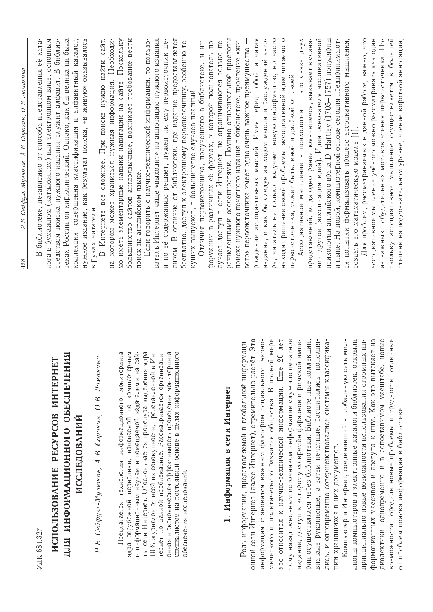|                                                                                                                                                                                                                                           | Р. Б. Сейфуль-Мулюков, А. В. Сорокин, О. В. Ломакина<br>428                                                                                                                                                                                                                                                           |
|-------------------------------------------------------------------------------------------------------------------------------------------------------------------------------------------------------------------------------------------|-----------------------------------------------------------------------------------------------------------------------------------------------------------------------------------------------------------------------------------------------------------------------------------------------------------------------|
| УДК 681.327                                                                                                                                                                                                                               | библиотеке, независимо от способа представления её ката-<br>$\mathbf{\Omega}$                                                                                                                                                                                                                                         |
| ДЛЯ ИНФОРМАЦИОННОГО ОБЕСПЕЧЕНИЯ<br><b>ИСПОЛЬЗОВАНИЕ PECYPCOB ИНТЕРНЕТ</b><br><b>ИССЛЕДОВАНИЙ</b>                                                                                                                                          | лога в бумажном (каталожном) или электронном виде, основным<br>теках России он кириллический. Однако, как бы велика ни была<br>коллекция, совершенна классификация и алфавитный каталог,<br>нужное издание, как результат поиска, «в живую» оказывалось<br>средством поиска нужного издания служит алфавит. В библио- |
| Р. Б. Сейфуль-Мулюков, А. В. Сорокин, О. В. Ломакина                                                                                                                                                                                      | сайт,<br>В Интернете всё сложнее. При поиске нужно найти<br>в руках читателя.                                                                                                                                                                                                                                         |
| периодики, издаваемой по компьютерным<br>технология информационного мониторинга<br>и информационным наукам и помещаемой издателями на сай-<br>зарубежной<br>Предлагается<br>ядра                                                          | котором может храниться нужная информация. Необходи-<br>мо иметь элементарные навыки навигации на сайте. Поскольку<br>большинство сайтов англоязычные, возникает требование вести<br>поиск на английском языке.<br>Нa                                                                                                 |
| ты сети Интернет. Обосновывается процедура выделения ядра<br>10 % журналов от всей их совокупности, представленной в Ин-<br>тернет по данной проблематике. Рассматривается организаци-                                                    | ватель Интернет чаще «выходит» на аннотацию нужного издания<br>Если говорить о научно-технической информации, то пользо-<br>и по её содержанию решает, нужен ли ему первоисточник це-                                                                                                                                 |
| онная и экономическая эффективность проведения мониторинга<br>специалистом на постоянной основе в целях информационного<br>обеспечения исследований.                                                                                      | ликом. В отличие от библиотеки, где издание предоставляется<br>бесплатно, доступ к электронному первоисточнику, особенно те-<br>кущих выпусков, в большинстве случаев платный.                                                                                                                                        |
| 1. Информация в сети Интернет                                                                                                                                                                                                             | речисленными особенностями. Помимо относительной простоты<br>ИН-<br>формации в различных её формах, к которой пользователь по-<br>лучает доступ в сети Интернет, не ограничиваются только пе-<br>Отличия первоисточника, полученного в библиотеке, и                                                                  |
| онной сети Интернет (далее Интернет), стремительно растёт. Эта<br>Роль информации, представляемой в глобальной информаци-<br>ЭКОНО-<br>информация становится важным фактором социального,                                                 | читая<br>поиска нужного печатного издания в библиотеке, прочтение «жи-<br>вого» первоисточника имеет одно очень важное преимущество -<br>рождение ассоциативных мыслей. Имея перед собой и                                                                                                                            |
| это относится к научно-технической информации. Ещё 20 лет<br>мического и политического развития общества. В полной мере<br>тому назад основным источником информации служило печатное                                                     | ра, читатель не только получает новую информацию, но часто<br>находит решение своей проблемы, ассоциативной идее читаемого<br>издание, и как бы следуя за ходом мысли и рассуждений авто-                                                                                                                             |
| рии осуществлялся через библиотеки. Библиотечные коллекции,<br>издание, доступ к которому со времён фараонов и римской импе-                                                                                                              | <b>ABVX</b><br>представлений, когда одно, ранее появившееся, вызывает в созна-<br><b>GRED OTC</b><br>первоисточника, может быть, иной и далёкой от своей<br>Ассоциативное мышление в психологии                                                                                                                       |
| вначале рукописные, а затем печатные, расширялись, пополня-<br>лись, и одновременно совершенствовались системы классифика-<br>ции хранящихся в них документов.                                                                            | психологии английского врача D. Hartley (1705-1757) популярны<br>нии другое (ассоциация идей). Идеи основателя ассоциативной<br>и ныне. На новой, компьютерной основе сегодня предпринимают-                                                                                                                          |
| Компьютер и Интернет, соединивший в глобальную сеть мил-<br>лионы компьютеров и электронные каталоги библиотек, открыли<br>принципиально новые возможности использования огромных ин-                                                     | Для проблем, рассматриваемых в данной работе, важно, что<br>ся попытки формализовать процесс ассоциативного мышления,<br>создать его математическую модель [1].                                                                                                                                                       |
| формационных массивов и доступа к ним. Как это вытекает из<br>новые<br>ичные<br>возможности породили новые проблемы и трудности, отл<br>диалектики, одновременно и в сопоставимом масштабе,<br>от проблем поиска информации в библиотеке. | ассоциативное мышление учёного можно рассматривать как один<br>скольку ассоциативное мышление осуществляется в большей<br>из важных побудительных мотивов чтения первоисточника. По-<br>степени на подсознательном уровне, чтение короткой аннотации,                                                                 |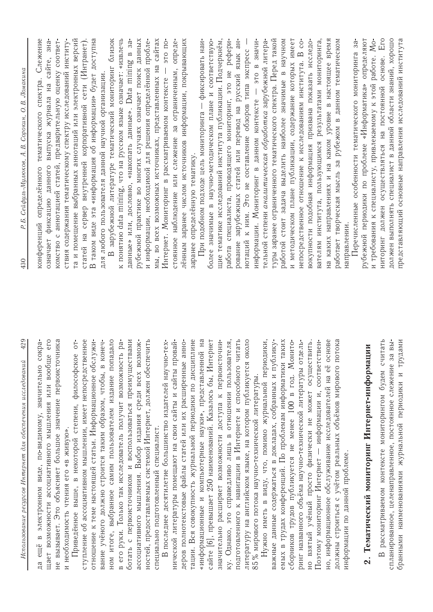| 429<br>Использование ресурсов Интернет для обеспечения исследований                                                                          | Р.Б. Сейфуль-Мулюков, А.В. Сорокин, О.В. Ломакина<br>430                                                                      |
|----------------------------------------------------------------------------------------------------------------------------------------------|-------------------------------------------------------------------------------------------------------------------------------|
| сокра-<br>электронном виде, по-видимому, значительно<br>$\mathbf{r}$<br>ещё<br>ЦΆ                                                            | Слежение<br>спектра.<br>тематического<br>конференций определённого                                                            |
| щает возможности ассоциативного мышления или вообще его                                                                                      | означает фиксацию данного выпуска журнала на сайте, зна-                                                                      |
| не вызывает. Это объясняет большое значение первоисточника                                                                                   | комство с аннотацией статей, предварительную оценку соответ-                                                                  |
| и необходимость чтения его «в живую».                                                                                                        | ствия содержания тематическому спектру исследований институ-                                                                  |
| Приведённое выше, в некоторой степени, философское от-                                                                                       | та и помещение выбранных аннотаций или электронных версий                                                                     |
| ступление об ассоциативном мышлении, имеет непосредственное                                                                                  | статей на сервер внутренней корпоративной сети (Интранет)                                                                     |
| отношение к теме настоящей статьи. Информационное обслужи-                                                                                   | В таком виде эта «информация об информации» будет доступна                                                                    |
| конеч-<br>вание учёного должно строится таким образом, чтобы, в                                                                              | для любого пользователя данной научной организации.                                                                           |
| ном итоге, выбранное самим пользователем издание попадало                                                                                    | зарубежной литературе тематический мониторинг близок                                                                          |
| в его руки. Только так исследователь получит возможность ра-                                                                                 | к понятию data mining, что на русском языке означает: «извлечь                                                                |
| с первоисточником и воспользоваться преимуществами<br>ботать                                                                                 | данные» или, дословно, «накопать данные». Data mining в за-                                                                   |
| ассоциативного мышления. Выбор издания среди всех возмож-                                                                                    | рубежной практике во многих случаях означает поиск данных                                                                     |
| ностей, предоставляемых системой Интернет, должен обеспечить                                                                                 | и информации, необходимой для решения определённой пробле-                                                                    |
| специально подготовленный специалист.                                                                                                        | мы, во всех возможных источниках, представленных на сайтах                                                                    |
| В последнее десятилетие большинство издателей научно-тех-                                                                                    | это по-<br>Интернет. Мониторинг в рассматриваемом контексте                                                                   |
| нической литературы помещают на свои сайты и сайты провай-                                                                                   | стоянное наблюдение или слежение за ограниченным, опреде-                                                                     |
| анно-<br>деров полнотекстовые файлы статей или их расширенные                                                                                | лённым заранее числом источников информации, покрывающих                                                                      |
| тации. Вся совокупность журнальной периодики по дисциплине                                                                                   | заранее определённую тематику.                                                                                                |
| «информационные и компьютерные науки», представленной на                                                                                     | При подобном подходе цель мониторинга — фиксировать наи-                                                                      |
| сайте [6], превышает 250 наименований. Казалось бы, Интернет                                                                                 | более значимые в научно-методическом плане и соответствую-                                                                    |
| значительно расширяет возможности доступа к первоисточни-                                                                                    | щие тематике исследований института публикации. Подчеркнём,                                                                   |
| ку. Однако, это справедливо лишь в отношении пользователя,                                                                                   | работа специалиста, проводящего мониторинг, это не рефери-                                                                    |
| подготовленного к навигации в Интернете и способного читать                                                                                  | рование зарубежных статей или перевод на русский язык ан-                                                                     |
| OKOJIO<br>литературу на английском языке, на котором публикуется                                                                             | нотаций к ним. Это не составление обзоров типа экспресс                                                                       |
| 85% мирового потока научно-технической литературы.                                                                                           | это в значи-<br>информации. Мониторинг в данном контексте                                                                     |
| Нужно иметь в виду, что, помимо журнальной периодики,                                                                                        | тельной степени аналитическая обработка зарубежной литера-                                                                    |
| важные данные содержаться в докладах, собранных и публику-                                                                                   | туры заранее ограниченного тематического спектра. Перед такой                                                                 |
| емых в трудах конференций. По проблемам информатики таких                                                                                    | работой стоит задача выделить наиболее значимые в научном                                                                     |
| сборников трудов публикуется не менее 100 в год. Монито-                                                                                     | и методическом плане публикации, содержание которых имеет                                                                     |
| ринг названного объёма научно-технической литературы отдель-                                                                                 | непосредственное отношение к исследованиям института. В со-                                                                   |
| но взятый учёный просто физически не может осуществить.                                                                                      | вокупности подобная информация призвана показать исследо-                                                                     |
| Поэтому мониторинг Интернет — информации и, соответствен-                                                                                    | вателям института, пользующимся результатами мониторинга,                                                                     |
| но, информационное обслуживание исследователей на её основе                                                                                  | время<br>в настоящее<br>каких направлениях и на каком уровне<br>Нa                                                            |
| должны строиться с учётом реальных объёмов мирового потока                                                                                   | работает творческая мысль за рубежом в данном тематическом                                                                    |
| информации по данной проблеме.                                                                                                               | Перечисленные особенности тематического мониторинга за-<br>направлении                                                        |
| 2. Тематический мониторинг Интернет-информации                                                                                               | рубежной периодики по проблеме «Информатика» определяют                                                                       |
|                                                                                                                                              | и требования к специалисту, привлекаемому к этой работе. Мо-                                                                  |
| рассматриваемом контексте мониторингом будем считать<br>за вы-<br>спланированное, целенаправленное, постоянное слежение<br>$\mathbf{\Omega}$ | Ero<br>должен выполнять специалист в данной области знаний, хорошо<br>основе.<br>ниторинг должен осуществляться на постоянной |
| трудами<br>$\overline{z}$<br>наименованиями журнальной периодики<br>бранными                                                                 | представляющий основные направления исследований института                                                                    |
|                                                                                                                                              |                                                                                                                               |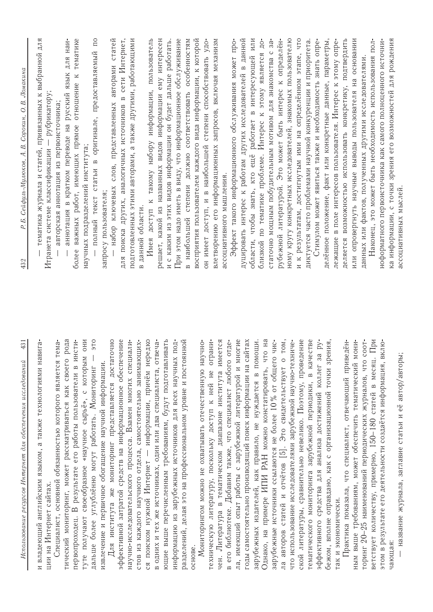| 431<br>Использование ресурсов Интернет для обеспечения исследований    | Ломакина<br>A.B. Copokun, O.B.<br>Р.Б. Сейфуль-Мулюков,<br>432            |
|------------------------------------------------------------------------|---------------------------------------------------------------------------|
| авига<br>и владеющий английским языком, а также технологиями н         | тематика журнала и статей, привязанных к выбранной для                    |
| ции на Интернет сайтах                                                 | рубрикатору;<br>Итранета системе классификации                            |
| Tema<br>Специалист, основной обязанностью которого является            | авторская аннотация из первоисточника;                                    |
| рода<br>тический мониторинг, может рассматриваться как своего          | аннотация в кратком переводе на русский язык для наи-                     |
| ИНСТИ-<br>первопроходец. В результате его работы пользователи в        | тематике<br>важных работ, имеющих прямое отношение к<br>более             |
| <b>OHH</b><br>которым<br>туте получают своеобразное «научное сырьё», с | научных подразделений института;                                          |
| OIG<br>дальше более углублённо могут работать. Мониторинг              | $\overline{\Pi}$<br>текст статьи в оригинале, предоставляемый<br>полный   |
| извлечение и первичное обогащение научной информации.                  | запросу пользователя;                                                     |
| Для института же мониторинг представляется достаточно                  | набор ключевых слов, представленных авторами статей                       |
| эффективной затратой средств на информационное обеспечение             | для поиска других, аналогичных источников в сети Интернет,                |
| научно-исследовательского процесса. Взамен многих специали-            | подготовленных этими авторами, а также другими, работающими               |
| стов из каждого научного отдела, самостоятельно занимающих-            | данной области.<br>$\mathbf{a}$                                           |
| ся поиском нужной Интернет - информации, причём нередко                | Имея доступ к такому набору информации, пользователь                      |
| в одних и тех же источниках, один или два специалиста, отвеча-         | решает, какой из названных видов информации ему интересен                 |
| ющие выше перечисленным требованиям, будут подготавливать              | и с каким из этих видов информации он будет дальше работать               |
| информацию из зарубежных источников для всех научных под-              | При этом надо иметь в виду, что информационное обслуживание               |
| разделений, делая это на профессиональном уровне и постоянной          | наибольшей степени должно соответствовать особенностям<br>$\overline{a}$  |
| основе.                                                                | восприятия пользователем каждого вида информации, к которой               |
| Мониторингом можно не охватывать отечественную научно-                 | он имеет доступ, и в наибольшей степени способствовать удо-               |
| техническую литературу, поскольку доступ к ней не ограни-              | влетворению его информационных запросов, включая механизм                 |
| чен. Литература в тематическом диапазоне института имеется             | ассоциативного мышления.                                                  |
| в его библиотеке. Добавим также, что специалист любого отде-           | Эффект такого информационного обслуживания может про-                     |
| ла, имеющий опыт работы с зарубежной литературой и многие              |                                                                           |
| годы самостоятельно производящий поиск информации на сайтах            | дуцировать интерес к работам других исследователей в данной               |
| зарубежных издателей, как правило, не нуждается в помощи.              | области, чтобы знать, кто ещё работает в интересующей или                 |
| Однако, на примере ИПИ РАН можно констатировать, что на                | $\overline{A}O$<br>близкой по тематике проблеме. Интерес к этому является |
| ОНЫ О.<br>зарубежные источники ссылаются не более 10% от общег         | 3a<br>статочно мощным побудительным мотивом для знакомства с              |
| ла авторов статей и отчётов [5]. Это свидетельствует о том,            | определён-<br>рубежной литературой. Это может быть интерес к              |
| что использование исследователями зарубежной научно-техниче-           | ному кругу конкретных исследователей, знакомых пользователю               |
| ской литературы, сравнительно невелико. Поэтому, проведение            | и к результатам, достигнутым ими на определённом этапе, что               |
| тематического мониторинга зарубежной периодики, в качестве             | диктуется часто проблемами научной конкуренции и приоритета               |
| 3a py-<br>эффективного средства для анализа достижений коллег          | Стимулом может явиться также и необходимость знать опре-                  |
| бежом, вполне оправдано, как с организационной точки зрения,           | делённое положение, факт или конкретные данные, параметры,                |
| так и экономически.                                                    | лежащие в поле интересов пользователя. Интерес к этому опре-              |
| Практика показала, что специалист, отвечающий приведён-                | деляется возможностью использовать конкретику, подтвердить                |
| MOHH-<br>ным выше требованиям, может обеспечить тематический           | основании<br>или опровергнуть научные выводы пользователя на              |
| торинг 20-25 наименований периодических журналов, что соот-            | данных или фактов, полученных другими исследователями.                    |
| . При<br>ветствует количеству, примерно, 150-180 статей в месяц        | Наконец, это может быть необходимость использования пол-                  |
| ВКЛЮ-<br>этом в результате его деятельности создаётся информация,      | ноформатного первоисточника как самого полноценного источни-              |
| чающая:                                                                | ка информации, с точки зрения его возможностей для рождения               |
| название журнала, заглавие статьи и её автор/авторы;                   | ассоциативных мыслей.                                                     |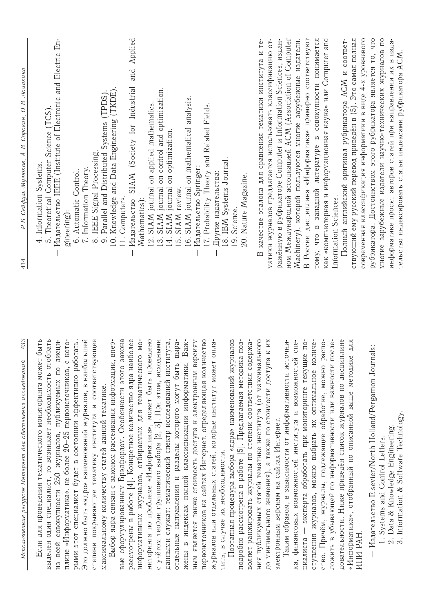| ా                           | Р.Б. Сейфуль-Мулюков, А.В. Сорокин, О.В. Ломакина<br>434                                                                  |
|-----------------------------|---------------------------------------------------------------------------------------------------------------------------|
| مب                          | 4. Information Systems.                                                                                                   |
| مر                          | 5. Theoretical Computer Science (TCS)                                                                                     |
| $\frac{1}{\sqrt{2}}$        | Издательство IEEE (Institute of Electronic and Electric En-                                                               |
| $\overline{\phantom{a}}$    | gineering):                                                                                                               |
| $\dot{\mathbf{a}}$          | 6. Automatic Control.                                                                                                     |
| ă                           | 7. Information Theory.                                                                                                    |
| پهِ                         | IEEE Signal Processing.<br>$\infty$                                                                                       |
| 느                           | 10. Knowledge and Data Engineering (TKDE)<br>Parallel and Distributed Systems (TPDS)<br>$\ddot{\circ}$                    |
| $\overline{\omega}$         | 11. Computers.                                                                                                            |
| په                          | Applied<br>and<br>SIAM (Society for Industrial<br>Издательство                                                            |
| $\overline{\phantom{a}}$    | Mathematics):                                                                                                             |
| $\subseteq$                 | 12. SIAM journal on applied mathematics                                                                                   |
| И                           | SIAM journal on control and optimization<br>$\mathbb{S}$                                                                  |
| $\hat{m}$<br>$\overline{+}$ | SIAM journal on optimization.<br>$\overline{14}$ .                                                                        |
|                             | SIAM review.<br>$\overline{5}$ .                                                                                          |
| ىل                          | 16. SIAM journal on mathematical analysis                                                                                 |
| $\geq$                      | Издательство Springer                                                                                                     |
| $\circ$                     | 17. Probability Theory and Related Fields.                                                                                |
| $\overline{a}$              | Другие издательства:                                                                                                      |
|                             | 18. IBM Systems Journal.                                                                                                  |
| Φ                           | 19. Science.                                                                                                              |
| $\lambda$<br>$\overline{+}$ | 20. Nature Magazine.                                                                                                      |
| $\circ$                     | В качестве эталона для сравнения тематики института и те-                                                                 |
| ×                           | матики журналов предлагается использовать классификацию от-                                                               |
|                             | ражённую в рубрикаторе Computer и Information Sciences, издан-                                                            |
| $\pm$                       | ном Международной ассоциацией ACM (Association of Computer                                                                |
| $\overline{A}$              | Machinery), которой пользуются многие зарубежные издатели.                                                                |
| $\overline{a}$              | В России дисциплина «Информатика» примерно соответствуют                                                                  |
| $\overline{a}$              | тому, что в западной литературе в совокупности понимается                                                                 |
| $\overline{a}$              | как «компьютерная и информационная наука» или Computer and                                                                |
|                             | Information Sciences.                                                                                                     |
| $\mathbf{Q}$<br>토           | Полный английский оригинал рубрикатора АСМ и соответ-                                                                     |
|                             | ствующий ему русский перевод приведён в (5). Это самая полная                                                             |
|                             | современная классификация информатики в виде 4-х уровневого                                                               |
|                             | рубрикатора. Достоинством этого рубрикатора является то, что                                                              |
|                             | многие зарубежные издатели научно-технических журналов по<br>информатике просят авторов статей при направлении их в изда- |
|                             | тельство индексировать статьи индексами рубрикатора ACM                                                                   |
|                             |                                                                                                                           |

433 Использование ресирсов Интернет для обеспечения исследований Если для проведения тематического мониторинга может быт выделен один специалист, то возникает необходимость отобрат плине «Информатика», не более 20-25 первоисточников, с котс рыми этот специалист будет в состоянии эффективно работать Это должно быть «ядро» наименований журналов, в наибольше из всей совокупности 250 журналов, публикуемых по дисци степени покрывающее тематику института и соответствующе максимальному количеству статей данной тематике.

рассмотрены в работе [4]. Конкретное количество ядра наиболе первоисточников на сайтах Интернет, определяющая количеств информативных журналов, отбираемых для тематического мс с учётом теории группового выбора [2, 3]. При этом, исходным данными служат: тематический спектр исследований института отдельные направления и разделы которого могут быть выра жены в индексах полной классификации информатики. Важ ным является также стоимость доступа к электронным версия журналов или отдельных статей, которые институт может опла Выбор ядра связан с законом рассеивания информации, впер ниторинга по проблеме «Информатика», может быть проведен вые сформулированным Брэдфордом. Особенности этого закон тить, в случае их необходимости.

Поэтапная процедура выбора «ядра» наименований журнало ния публикуемых статей тематике института (от максимальног подробно рассмотрена в работе [5]. Предлагаемая методика поз воляет ранжировать журналы по степени соответствия содержа до минимального значения), а также по стоимости доступа к и электронным версиям на сайтах Интернет.

Таким образом, в зависимости от информативности источни ка, финансовых возможностей института и возможностей спе циалиста — эксперта обработать при мониторинге текущие пс ступления журналов, можно выбрать их оптимальное количе ство. Причём, журналы, подлежащие обработке, можно распс ложить в убывающей по информативности или важности после «Информатика», отобранный по описанной выше методике дл довательности. Ниже приведён список журналов по дисциплин **ATIM PAH** 

- Издательство Elsevier/North Holland/Pergamon Journals: 1. Systems and Control Letters.
	-
- 2. Data & Knowledge Engineering.<br>3. Information & Software Technology.
	-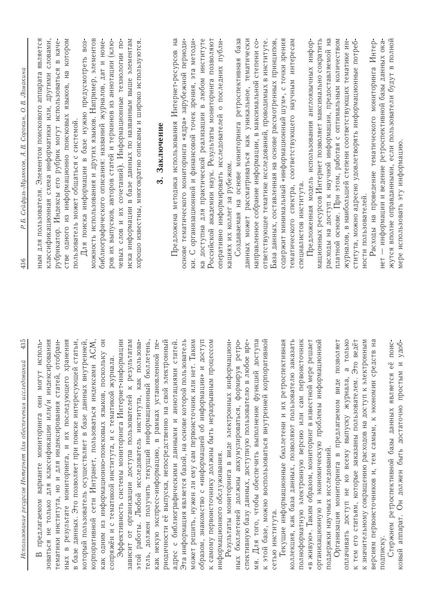| 435<br>Использование ресурсов Интернет для обеспечения исследований                                                     | Р. Б. Сейфуль-Мулюков, А. В. Сорокин, О. В. Ломакина<br>436                                                                |
|-------------------------------------------------------------------------------------------------------------------------|----------------------------------------------------------------------------------------------------------------------------|
| могут исполь-<br><b>OHH</b><br>предлагаемом варианте мониторинга                                                        | ЯВЛЯЕТСЯ<br>для пользователя. Элементом поискового аппарата<br><b>NIRH</b>                                                 |
| зоваться не только для классификации или/и индексирования                                                               | классификационная схема информатики или, другими словами,                                                                  |
| тематики института, но и для индексирования статей, отобран-                                                            | рубрикатор. Индексы его рубрик могут использоваться в каче-                                                                |
| результате мониторинга, и их последующего хранения<br>$\mathbf{a}$<br>HЫX                                               | стве одного из информационно поисковых языков, на котором                                                                  |
| в базе данных. Это позволяет при поиске интересующей статьи,                                                            | пользователь может общаться с системой.                                                                                    |
| который пользователь осуществляет в базе данных внутренней,                                                             | Для поиска информации в базе нужно предусмотреть воз-                                                                      |
| ACM,<br>корпоративной сети Интранет, пользоваться индексами                                                             | можность использования и других языков. Например, элементов                                                                |
| как одним из информационно-поисковых языков, поскольку он                                                               | библиографического описания: названий журналов, дат и номе-                                                                |
| сопряжён и с тематикой института, и с тематикой журнала.                                                                | ров их выпусков, авторов статей и терминов из аннотации (клю-                                                              |
| Эффективность системы мониторинга Интернет-информации                                                                   | чевых слов и их сочетаний). Информационные технологии по-                                                                  |
| зависит от организации доступа пользователей к результатам<br>этой работы. Любой исследователь института, как пользова- | иска информации в базе данных по названным выше элементам<br>хорошо известны, многократно описаны и широко используются.   |
| должен получить текущий информационный бюллетень,<br>тель,                                                              |                                                                                                                            |
| как некую экспресс-информацию, в рамках установленной пе-                                                               | Заключение<br>$\ddot{\mathbf{c}}$                                                                                          |
| риодичности её выпуска, непосредственно на свой электронный                                                             |                                                                                                                            |
| статей.<br>адрес с библиографическими данными и аннотациями                                                             | Предложена методика использования Интернет-ресурсов на                                                                     |
| Эта информация является базой, на основе которой пользователь                                                           | основе тематического мониторинга «ядра» зарубежной периоди-                                                                |
| Таким<br>может решить, нужен ли ему сам первоисточник или нет.                                                          | ки. С организационной и финансовой точек зрения, эта методи-                                                               |
| доступ<br>образом, знакомство с «информацией об информации» и                                                           | ка доступна для практической реализации в любом институте                                                                  |
| к самому первоисточнику должны быть неразрывным процессом                                                               | Российской академии наук. Результаты мониторинга позволяют                                                                 |
| информационного обслуживания.                                                                                           | оперативно информировать исследователей о последних публи-                                                                 |
| Результаты мониторинга в виде электронных информацион-                                                                  | кациях их коллег за рубежом.                                                                                               |
| perpo-<br>бюллетеней должны аккумулироваться, формируя<br><b>HbIX</b>                                                   | Создаваемая на основе мониторинга ретроспективная база                                                                     |
| спективную базу данных, доступную пользователю в любое вре-                                                             | тематически<br>данных может рассматриваться как уникальное,                                                                |
| мя. Для того, чтобы обеспечить выполнение функций доступа                                                               | направленное собрание информации, в максимальной степени со-                                                               |
| к этой базе, можно воспользоваться внутренней корпоративной                                                             | ответствующее тематике исследований, проводимых в институте                                                                |
| сетью института.                                                                                                        | База данных, составленная на основе рассмотренных принципов,                                                               |
| Текущие информационные бюллетени и их ретроспективная                                                                   | содержит минимальный «информационный шум», с точки зрения                                                                  |
| коллекция, как база данных, позволяют пользователю заказать                                                             | тематического спектра, соответствующего научным интересам                                                                  |
| полноформатную электронную версию или сам первоисточник                                                                 | специалистов института.                                                                                                    |
| «в живую». Таким образом, мониторинг в известной мере решает                                                            | Предложенная модель использования англоязычных инфор-                                                                      |
| организационную и экономическую проблемы информационной                                                                 | мационных ресурсов Интернет позволяет максимально сократить                                                                |
| поддержки научных исследований.                                                                                         | расходы на доступ к научной информации, предоставляемой на                                                                 |
| Организация мониторинга в предлагаемом виде позволяет                                                                   | платной основе. При этом, работая с оптимальным количеством                                                                |
| ТОЛЬКО<br>$\infty$<br>доступ не ко всему выпуску журнала,<br>оплачивать                                                 | журналов, в наибольшей степени соответствующих тематике ин-                                                                |
| к тем его статьям, которые заказаны пользователем. Это ведёт                                                            | ститута, можно адресно удовлетворять информационные потреб-                                                                |
| к значительному сокращению расходов на доступ к электронным                                                             | ности пользователей.                                                                                                       |
| версиям первоисточников и, тем самым, к экономии средств на                                                             | Расходы на проведение тематического мониторинга Интер-                                                                     |
| Стержнем ретроспективной базы данных является её<br>подписку                                                            | жутся вполне оправданными, если пользователи будут в полной<br>нет — информации и ведение ретроспективной базы данных ока- |
| поис-<br>удоб-<br>ковый аппарат. Он должен быть достаточно простым и                                                    | мере использовать эту информацию.                                                                                          |
|                                                                                                                         |                                                                                                                            |